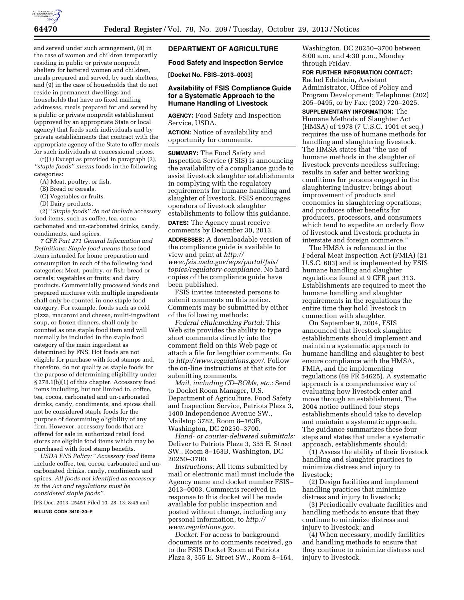

and served under such arrangement, (8) in the case of women and children temporarily residing in public or private nonprofit shelters for battered women and children, meals prepared and served, by such shelters, and (9) in the case of households that do not reside in permanent dwellings and households that have no fixed mailing addresses, meals prepared for and served by a public or private nonprofit establishment (approved by an appropriate State or local agency) that feeds such individuals and by private establishments that contract with the appropriate agency of the State to offer meals for such individuals at concessional prices.

(r)(1) Except as provided in paragraph (2), *''staple foods'' means* foods in the following categories:

- (A) Meat, poultry, or fish.
- (B) Bread or cereals.
- (C) Vegetables or fruits.
- (D) Dairy products.

(2) ''*Staple foods'' do not includ*e accessory food items, such as coffee, tea, cocoa, carbonated and un-carbonated drinks, candy, condiments, and spices.

*7 CFR Part 271 General Information and Definitions: Staple food means* those food items intended for home preparation and consumption in each of the following food categories: Meat, poultry, or fish; bread or cereals; vegetables or fruits; and dairy products. Commercially processed foods and prepared mixtures with multiple ingredients shall only be counted in one staple food category. For example, foods such as cold pizza, macaroni and cheese, multi-ingredient soup, or frozen dinners, shall only be counted as one staple food item and will normally be included in the staple food category of the main ingredient as determined by FNS. Hot foods are not eligible for purchase with food stamps and, therefore, do not qualify as staple foods for the purpose of determining eligibility under § 278.1(b)(1) of this chapter. Accessory food items including, but not limited to, coffee, tea, cocoa, carbonated and un-carbonated drinks, candy, condiments, and spices shall not be considered staple foods for the purpose of determining eligibility of any firm. However, accessory foods that are offered for sale in authorized retail food stores are eligible food items which may be purchased with food stamp benefits.

*USDA FNS Policy:* ''*Accessory food* items include coffee, tea, cocoa, carbonated and uncarbonated drinks, candy, condiments and spices. *All foods not identified as accessory in the Act and regulations must be considered staple foods''.* 

[FR Doc. 2013–25451 Filed 10–28–13; 8:45 am]

**BILLING CODE 3410–30–P** 

## **DEPARTMENT OF AGRICULTURE**

**Food Safety and Inspection Service** 

**[Docket No. FSIS–2013–0003]** 

## **Availability of FSIS Compliance Guide for a Systematic Approach to the Humane Handling of Livestock**

**AGENCY:** Food Safety and Inspection Service, USDA.

**ACTION:** Notice of availability and opportunity for comments.

**SUMMARY:** The Food Safety and Inspection Service (FSIS) is announcing the availability of a compliance guide to assist livestock slaughter establishments in complying with the regulatory requirements for humane handling and slaughter of livestock. FSIS encourages operators of livestock slaughter establishments to follow this guidance.

**DATES:** The Agency must receive comments by December 30, 2013.

**ADDRESSES:** A downloadable version of the compliance guide is available to view and print at *[http://](http://www.fsis.usda.gov/wps/portal/fsis/topics/regulatory-compliance) [www.fsis.usda.gov/wps/portal/fsis/](http://www.fsis.usda.gov/wps/portal/fsis/topics/regulatory-compliance) [topics/regulatory-compliance.](http://www.fsis.usda.gov/wps/portal/fsis/topics/regulatory-compliance)* No hard copies of the compliance guide have been published.

FSIS invites interested persons to submit comments on this notice. Comments may be submitted by either of the following methods:

*Federal eRulemaking Portal:* This Web site provides the ability to type short comments directly into the comment field on this Web page or attach a file for lengthier comments. Go to *[http://www.regulations.gov/.](http://www.regulations.gov/)* Follow the on-line instructions at that site for submitting comments.

*Mail, including CD–ROMs, etc.:* Send to Docket Room Manager, U.S. Department of Agriculture, Food Safety and Inspection Service, Patriots Plaza 3, 1400 Independence Avenue SW., Mailstop 3782, Room 8–163B, Washington, DC 20250–3700.

*Hand- or courier-delivered submittals:*  Deliver to Patriots Plaza 3, 355 E. Street SW., Room 8–163B, Washington, DC 20250–3700.

*Instructions:* All items submitted by mail or electronic mail must include the Agency name and docket number FSIS– 2013–0003. Comments received in response to this docket will be made available for public inspection and posted without change, including any personal information, to *[http://](http://www.regulations.gov) [www.regulations.gov.](http://www.regulations.gov)* 

*Docket:* For access to background documents or to comments received, go to the FSIS Docket Room at Patriots Plaza 3, 355 E. Street SW., Room 8–164, Washington, DC 20250–3700 between 8:00 a.m. and 4:30 p.m., Monday through Friday.

# **FOR FURTHER INFORMATION CONTACT:**

Rachel Edelstein, Assistant Administrator, Office of Policy and Program Development; Telephone: (202) 205–0495, or by Fax: (202) 720–2025.

**SUPPLEMENTARY INFORMATION:** The Humane Methods of Slaughter Act (HMSA) of 1978 (7 U.S.C. 1901 et seq.) requires the use of humane methods for handling and slaughtering livestock. The HMSA states that ''the use of humane methods in the slaughter of livestock prevents needless suffering; results in safer and better working conditions for persons engaged in the slaughtering industry; brings about improvement of products and economies in slaughtering operations; and produces other benefits for producers, processors, and consumers which tend to expedite an orderly flow of livestock and livestock products in interstate and foreign commerce.''

The HMSA is referenced in the Federal Meat Inspection Act (FMIA) (21 U.S.C. 603) and is implemented by FSIS humane handling and slaughter regulations found at 9 CFR part 313. Establishments are required to meet the humane handling and slaughter requirements in the regulations the entire time they hold livestock in connection with slaughter.

On September 9, 2004, FSIS announced that livestock slaughter establishments should implement and maintain a systematic approach to humane handling and slaughter to best ensure compliance with the HMSA, FMIA, and the implementing regulations (69 FR 54625). A systematic approach is a comprehensive way of evaluating how livestock enter and move through an establishment. The 2004 notice outlined four steps establishments should take to develop and maintain a systematic approach. The guidance summarizes these four steps and states that under a systematic approach, establishments should:

(1) Assess the ability of their livestock handling and slaughter practices to minimize distress and injury to livestock;

(2) Design facilities and implement handling practices that minimize distress and injury to livestock;

(3) Periodically evaluate facilities and handling methods to ensure that they continue to minimize distress and injury to livestock; and

(4) When necessary, modify facilities and handling methods to ensure that they continue to minimize distress and injury to livestock.